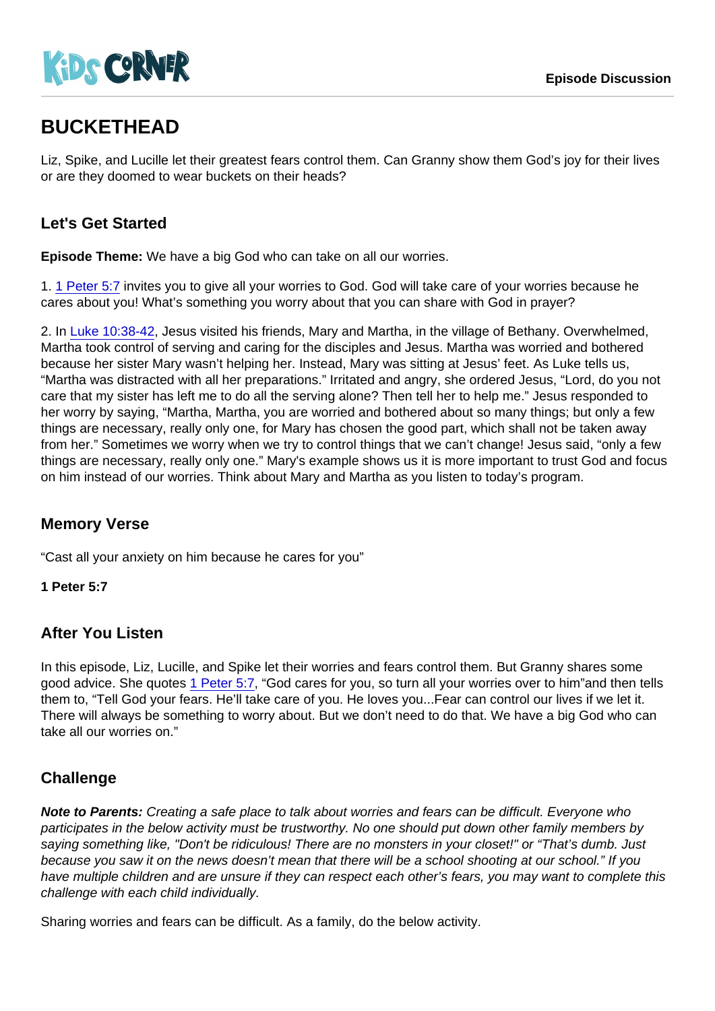# BUCKETHEAD

Liz, Spike, and Lucille let their greatest fears control them. Can Granny show them God's joy for their lives or are they doomed to wear buckets on their heads?

## Let's Get Started

Episode Theme: We have a big God who can take on all our worries.

1. [1 Peter 5:7](https://www.biblegateway.com/passage/?search=1+Peter+5:7) invites you to give all your worries to God. God will take care of your worries because he cares about you! What's something you worry about that you can share with God in prayer?

2. In [Luke 10:38-42,](https://www.biblegateway.com/passage/?search=Luke+10:38-42) Jesus visited his friends, Mary and Martha, in the village of Bethany. Overwhelmed, Martha took control of serving and caring for the disciples and Jesus. Martha was worried and bothered because her sister Mary wasn't helping her. Instead, Mary was sitting at Jesus' feet. As Luke tells us, "Martha was distracted with all her preparations." Irritated and angry, she ordered Jesus, "Lord, do you not care that my sister has left me to do all the serving alone? Then tell her to help me." Jesus responded to her worry by saying, "Martha, Martha, you are worried and bothered about so many things; but only a few things are necessary, really only one, for Mary has chosen the good part, which shall not be taken away from her." Sometimes we worry when we try to control things that we can't change! Jesus said, "only a few things are necessary, really only one." Mary's example shows us it is more important to trust God and focus on him instead of our worries. Think about Mary and Martha as you listen to today's program.

## Memory Verse

"Cast all your anxiety on him because he cares for you"

1 Peter 5:7

#### After You Listen

In this episode, Liz, Lucille, and Spike let their worries and fears control them. But Granny shares some good advice. She quotes [1 Peter 5:7,](https://www.biblegateway.com/passage/?search=1+Peter+5:7) "God cares for you, so turn all your worries over to him"and then tells them to, "Tell God your fears. He'll take care of you. He loves you...Fear can control our lives if we let it. There will always be something to worry about. But we don't need to do that. We have a big God who can take all our worries on."

## **Challenge**

Note to Parents: Creating a safe place to talk about worries and fears can be difficult. Everyone who participates in the below activity must be trustworthy. No one should put down other family members by saying something like, "Don't be ridiculous! There are no monsters in your closet!" or "That's dumb. Just because you saw it on the news doesn't mean that there will be a school shooting at our school." If you have multiple children and are unsure if they can respect each other's fears, you may want to complete this challenge with each child individually.

Sharing worries and fears can be difficult. As a family, do the below activity.